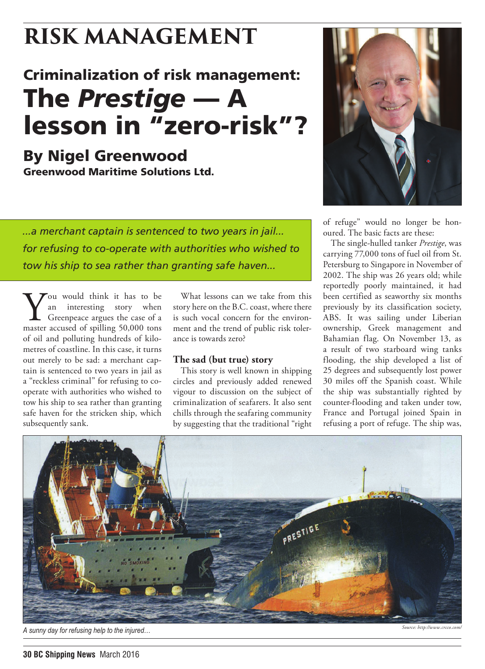## Criminalization of risk management: The *Prestige* — A lesson in "zero-risk"?

*...a merchant captain is sentenced to two years in jail...*

*tow his ship to sea rather than granting safe haven...*

*for refusing to co-operate with authorities who wished to* 

By Nigel Greenwood Greenwood Maritime Solutions Ltd.

Vou would think it has to be<br>an interesting story when<br>Greenpeace argues the case of a<br>master accused of spilling 50,000 tons an interesting story when Greenpeace argues the case of a master accused of spilling 50,000 tons of oil and polluting hundreds of kilometres of coastline. In this case, it turns out merely to be sad: a merchant captain is sentenced to two years in jail as a "reckless criminal" for refusing to cooperate with authorities who wished to tow his ship to sea rather than granting safe haven for the stricken ship, which

subsequently sank.



of refuge" would no longer be honoured. The basic facts are these:

The single-hulled tanker *Prestige*, was carrying 77,000 tons of fuel oil from St. Petersburg to Singapore in November of 2002. The ship was 26 years old; while reportedly poorly maintained, it had been certified as seaworthy six months previously by its classification society, ABS. It was sailing under Liberian ownership, Greek management and Bahamian flag. On November 13, as a result of two starboard wing tanks flooding, the ship developed a list of 25 degrees and subsequently lost power 30 miles off the Spanish coast. While the ship was substantially righted by counter-flooding and taken under tow, France and Portugal joined Spain in refusing a port of refuge. The ship was,



What lessons can we take from this story here on the B.C. coast, where there is such vocal concern for the environment and the trend of public risk toler-

This story is well known in shipping circles and previously added renewed vigour to discussion on the subject of criminalization of seafarers. It also sent chills through the seafaring community by suggesting that the traditional "right

ance is towards zero?

**The sad (but true) story**

*A sunny day for refusing help to the injured… Source: http://www.crcco.com/*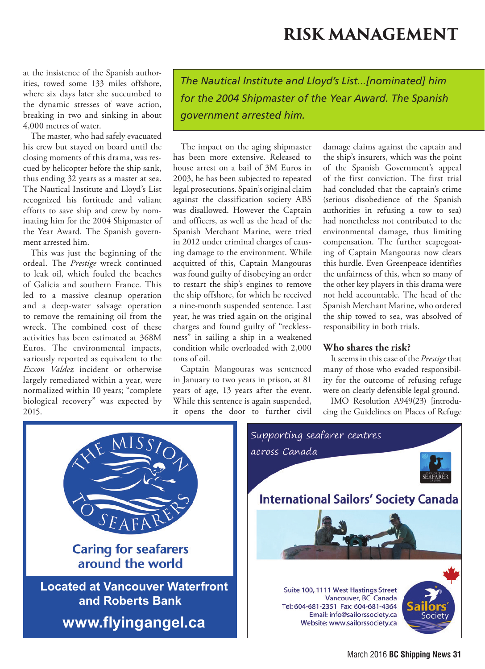at the insistence of the Spanish authorities, towed some 133 miles offshore, where six days later she succumbed to the dynamic stresses of wave action, breaking in two and sinking in about 4,000 metres of water.

The master, who had safely evacuated his crew but stayed on board until the closing moments of this drama, was rescued by helicopter before the ship sank, thus ending 32 years as a master at sea. The Nautical Institute and Lloyd's List recognized his fortitude and valiant efforts to save ship and crew by nominating him for the 2004 Shipmaster of the Year Award. The Spanish government arrested him.

This was just the beginning of the ordeal. The *Prestige* wreck continued to leak oil, which fouled the beaches of Galicia and southern France. This led to a massive cleanup operation and a deep-water salvage operation to remove the remaining oil from the wreck. The combined cost of these activities has been estimated at 368M Euros. The environmental impacts, variously reported as equivalent to the *Exxon Valdez* incident or otherwise largely remediated within a year, were normalized within 10 years; "complete biological recovery" was expected by 2015.

*The Nautical Institute and Lloyd's List...[nominated] him for the 2004 Shipmaster of the Year Award. The Spanish government arrested him.*

The impact on the aging shipmaster has been more extensive. Released to house arrest on a bail of 3M Euros in 2003, he has been subjected to repeated legal prosecutions. Spain's original claim against the classification society ABS was disallowed. However the Captain and officers, as well as the head of the Spanish Merchant Marine, were tried in 2012 under criminal charges of causing damage to the environment. While acquitted of this, Captain Mangouras was found guilty of disobeying an order to restart the ship's engines to remove the ship offshore, for which he received a nine-month suspended sentence. Last year, he was tried again on the original charges and found guilty of "recklessness" in sailing a ship in a weakened condition while overloaded with 2,000 tons of oil.

Captain Mangouras was sentenced in January to two years in prison, at 81 years of age, 13 years after the event. While this sentence is again suspended, it opens the door to further civil

damage claims against the captain and the ship's insurers, which was the point of the Spanish Government's appeal of the first conviction. The first trial had concluded that the captain's crime (serious disobedience of the Spanish authorities in refusing a tow to sea) had nonetheless not contributed to the environmental damage, thus limiting compensation. The further scapegoating of Captain Mangouras now clears this hurdle. Even Greenpeace identifies the unfairness of this, when so many of the other key players in this drama were not held accountable. The head of the Spanish Merchant Marine, who ordered the ship towed to sea, was absolved of responsibility in both trials.

#### **Who shares the risk?**

It seems in this case of the *Prestige* that many of those who evaded responsibility for the outcome of refusing refuge were on clearly defensible legal ground.

IMO Resolution A949(23) [introducing the Guidelines on Places of Refuge

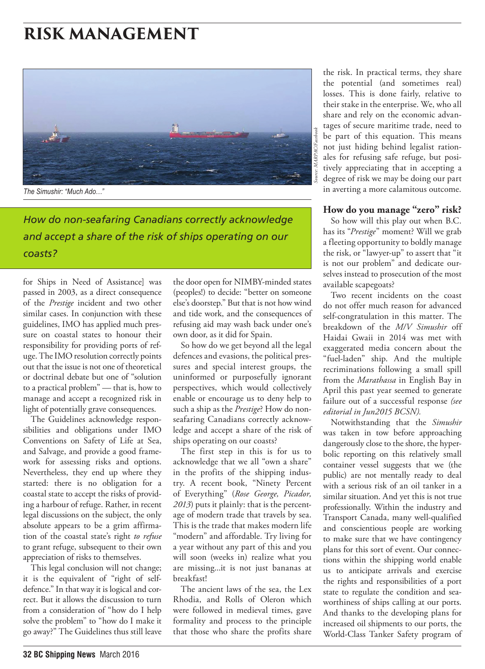

*The Simushir: "Much Ado…"*

*How do non-seafaring Canadians correctly acknowledge and accept a share of the risk of ships operating on our coasts?*

for Ships in Need of Assistance] was passed in 2003, as a direct consequence of the *Prestige* incident and two other similar cases. In conjunction with these guidelines, IMO has applied much pressure on coastal states to honour their responsibility for providing ports of refuge. The IMO resolution correctly points out that the issue is not one of theoretical or doctrinal debate but one of "solution to a practical problem" — that is, how to manage and accept a recognized risk in light of potentially grave consequences.

The Guidelines acknowledge responsibilities and obligations under IMO Conventions on Safety of Life at Sea, and Salvage, and provide a good framework for assessing risks and options. Nevertheless, they end up where they started: there is no obligation for a coastal state to accept the risks of providing a harbour of refuge. Rather, in recent legal discussions on the subject, the only absolute appears to be a grim affirmation of the coastal state's right *to refuse* to grant refuge, subsequent to their own appreciation of risks to themselves.

This legal conclusion will not change; it is the equivalent of "right of selfdefence." In that way it is logical and correct. But it allows the discussion to turn from a consideration of "how do I help solve the problem" to "how do I make it go away?" The Guidelines thus still leave

the door open for NIMBY-minded states (peoples!) to decide: "better on someone else's doorstep." But that is not how wind and tide work, and the consequences of refusing aid may wash back under one's own door, as it did for Spain.

So how do we get beyond all the legal defences and evasions, the political pressures and special interest groups, the uninformed or purposefully ignorant perspectives, which would collectively enable or encourage us to deny help to such a ship as the *Prestige*? How do nonseafaring Canadians correctly acknowledge and accept a share of the risk of ships operating on our coasts?

The first step in this is for us to acknowledge that we all "own a share" in the profits of the shipping industry. A recent book, "Ninety Percent of Everything" (*Rose George, Picador, 2013*) puts it plainly: that is the percentage of modern trade that travels by sea. This is the trade that makes modern life "modern" and affordable. Try living for a year without any part of this and you will soon (weeks in) realize what you are missing...it is not just bananas at breakfast!

The ancient laws of the sea, the Lex Rhodia, and Rolls of Oleron which were followed in medieval times, gave formality and process to the principle that those who share the profits share

the risk. In practical terms, they share the potential (and sometimes real) losses. This is done fairly, relative to their stake in the enterprise. We, who all share and rely on the economic advantages of secure maritime trade, need to be part of this equation. This means not just hiding behind legalist rationales for refusing safe refuge, but positively appreciating that in accepting a degree of risk we may be doing our part in averting a more calamitous outcome.

#### **How do you manage "zero" risk?**

So how will this play out when B.C. has its "*Prestige*" moment? Will we grab a fleeting opportunity to boldly manage the risk, or "lawyer-up" to assert that "it is not our problem" and dedicate ourselves instead to prosecution of the most available scapegoats?

Two recent incidents on the coast do not offer much reason for advanced self-congratulation in this matter. The breakdown of the *M/V Simushir* off Haidai Gwaii in 2014 was met with exaggerated media concern about the "fuel-laden" ship. And the multiple recriminations following a small spill from the *Marathassa* in English Bay in April this past year seemed to generate failure out of a successful response *(see editorial in Jun2015 BCSN).*

Notwithstanding that the *Simushir* was taken in tow before approaching dangerously close to the shore, the hyperbolic reporting on this relatively small container vessel suggests that we (the public) are not mentally ready to deal with a serious risk of an oil tanker in a similar situation. And yet this is not true professionally. Within the industry and Transport Canada, many well-qualified and conscientious people are working to make sure that we have contingency plans for this sort of event. Our connections within the shipping world enable us to anticipate arrivals and exercise the rights and responsibilities of a port state to regulate the condition and seaworthiness of ships calling at our ports. And thanks to the developing plans for increased oil shipments to our ports, the World-Class Tanker Safety program of